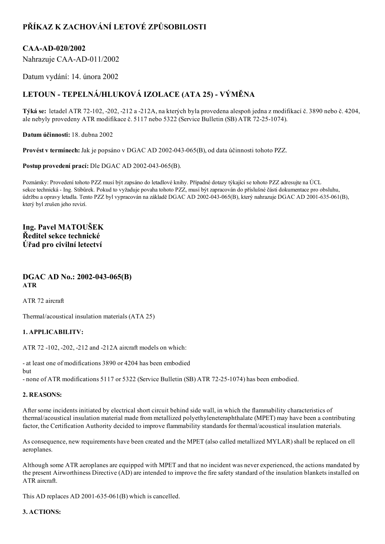# PŘÍKAZ K ZACHOVÁNÍ LETOVÉ ZPŮSOBILOSTI

## CAA-AD-020/2002

Nahrazuje CAA-AD-011/2002

Datum vydání: 14. února 2002

# LETOUN - TEPELNÁ/HLUKOVÁ IZOLACE (ATA 25) - VÝMĚNA

Týká se: letadel ATR 72102, 202, 212 a 212A, na kterých byla provedena alespoň jedna z modifikací č. 3890 nebo č. 4204, ale nebyly provedeny ATR modifikace č. 5117 nebo 5322 (Service Bulletin (SB) ATR 72251074).

Datum účinnosti: 18. dubna 2002

Provést v termínech: Jak je popsáno v DGAC AD 2002-043-065(B), od data účinnosti tohoto PZZ.

Postup provedení prací: Dle DGAC AD 2002-043-065(B).

Poznámky: Provedení tohoto PZZ musí být zapsáno do letadlové knihy. Případné dotazy týkající se tohoto PZZ adresujte na ÚCL sekce technická - Ing. Stibůrek. Pokud to vyžaduje povaha tohoto PZZ, musí být zapracován do příslušné části dokumentace pro obsluhu, údržbu a opravy letadla. Tento PZZ byl vypracován na základě DGAC AD 2002-043-065(B), který nahrazuje DGAC AD 2001-635-061(B), který byl zrušen jeho revizí.

### Ing. Pavel MATOUŠEK Ředitel sekce technické Úřad pro civilní letectví

#### DGAC AD No.: 2002-043-065(B) ATR

ATR 72 aircraft

Thermal/acoustical insulation materials (ATA 25)

#### 1. APPLICABILITV:

ATR 72 102, 202, 212 and 212A aircraft models on which:

 at least one of modifications 3890 or 4204 has been embodied but

- none of ATR modifications 5117 or 5322 (Service Bulletin (SB) ATR 72-25-1074) has been embodied.

#### 2. REASONS:

After some incidents initiated by electrical short circuit behind side wall, in which the flammability characteristics of thermal/acoustical insulation material made from metallized polyethyleneteraphthalate (MPET) may have been a contributing factor, the Certification Authority decided to improve flammability standards for thermal/acoustical insulation materials.

As consequence, new requirements have been created and the MPET (also called metallized MYLAR) shall be replaced on ell aeroplanes.

Although some ATR aeroplanes are equipped with MPET and that no incident was never experienced, the actions mandated by the present Airworthiness Directive (AD) are intended to improve the fire safety standard of the insulation blankets installed on ATR aircraft.

This AD replaces AD 2001-635-061(B) which is cancelled.

#### 3. ACTIONS: